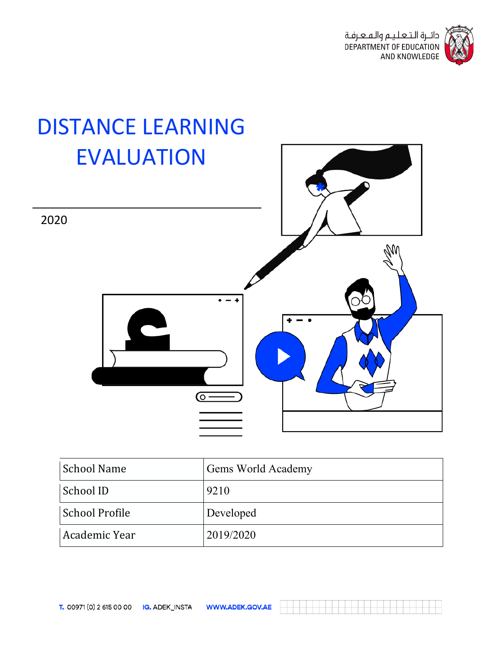



| <b>School Name</b> | <b>Gems World Academy</b> |
|--------------------|---------------------------|
| School ID          | 9210                      |
| School Profile     | Developed                 |
| Academic Year      | 2019/2020                 |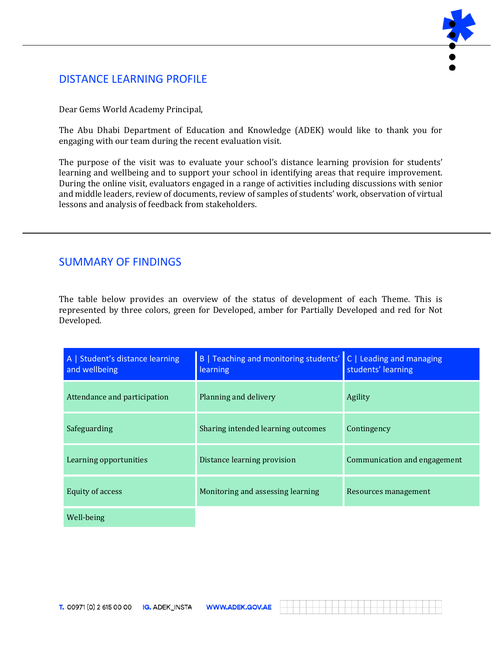## DISTANCE LEARNING PROFILE



Dear Gems World Academy Principal,

The Abu Dhabi Department of Education and Knowledge (ADEK) would like to thank you for engaging with our team during the recent evaluation visit.

The purpose of the visit was to evaluate your school's distance learning provision for students' learning and wellbeing and to support your school in identifying areas that require improvement. During the online visit, evaluators engaged in a range of activities including discussions with senior and middle leaders, review of documents, review of samples of students' work, observation of virtual lessons and analysis of feedback from stakeholders.

## SUMMARY OF FINDINGS

The table below provides an overview of the status of development of each Theme. This is represented by three colors, green for Developed, amber for Partially Developed and red for Not Developed.

| A   Student's distance learning<br>and wellbeing | B   Teaching and monitoring students'<br>learning | C   Leading and managing<br>students' learning |
|--------------------------------------------------|---------------------------------------------------|------------------------------------------------|
| Attendance and participation                     | Planning and delivery                             | Agility                                        |
| Safeguarding                                     | Sharing intended learning outcomes                | Contingency                                    |
| Learning opportunities                           | Distance learning provision                       | Communication and engagement                   |
| <b>Equity of access</b>                          | Monitoring and assessing learning                 | Resources management                           |
| Well-being                                       |                                                   |                                                |